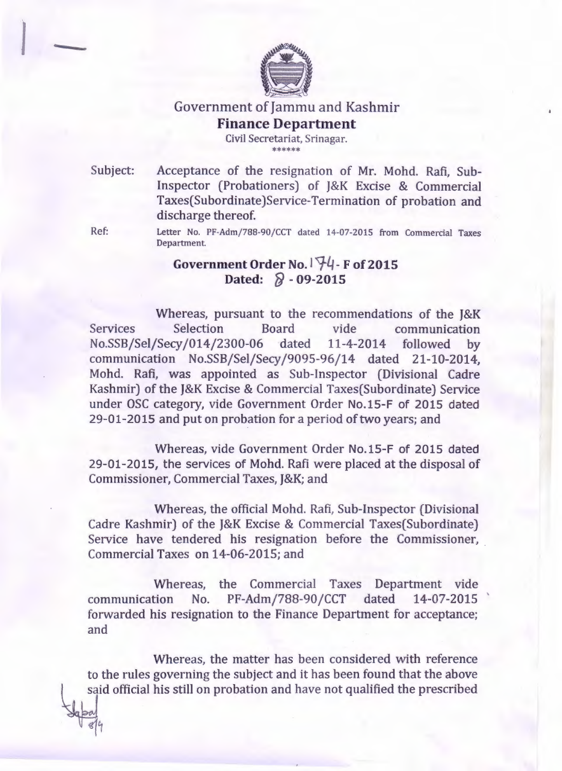

## Government of Jammu and Kashmir **Finance Department**

Civil Secretariat, Srinagar. \*\*\*\*\*\*\*\*

Subject: Acceptance of the resignation of Mr. Mohd. Rafi, Sub-Inspector (Probationers) of J&K Excise & Commercial Taxes(Subordinate)Service-Termination of probation and discharge thereof.

Ref:

Letter No. PF-Adm/788-90/CCT dated 14-07-2015 from Commercial Taxes Department.

## **Government Order No. 114 -F of 2015**  Dated:  $\sqrt{}$  - 09-2015

Whereas, pursuant to the recommendations of the J&K Services Selection Board vide communication No.SSB/Sel/Secy/014/2300-06 dated 11-4-2014 followed by communication No.SSB/Sel/Secy/9095-96/14 dated 21-10-2014, Mohd. Rafi, was appointed as Sub-Inspector (Divisional Cadre Kashmir) of the J&K Excise & Commercial Taxes(Subordinate) Service under OSC category, vide Government Order No.15-F of 2015 dated 29-01-2015 and put on probation for a period of two years; and

Whereas, vide Government Order No.15-F of 2015 dated 29-01-2015, the services of Mohd. Rafi were placed at the disposal of Commissioner, Commercial Taxes, J&K; and

Whereas, the official Mohd. Rafi, Sub-Inspector (Divisional Cadre Kashmir) of the J&K Excise & Commercial Taxes(Subordinate) Service have tendered his resignation before the Commissioner, Commercial Taxes on 14-06-2015; and

Whereas, the Commercial Taxes Department vide communication No. PF-Adm/788-90/CCT dated 14-07-2015 forwarded his resignation to the Finance Department for acceptance; and

Whereas, the matter has been considered with reference to the rules governing the subject and it has been found that the above said official his still on probation and have not qualified the prescribed